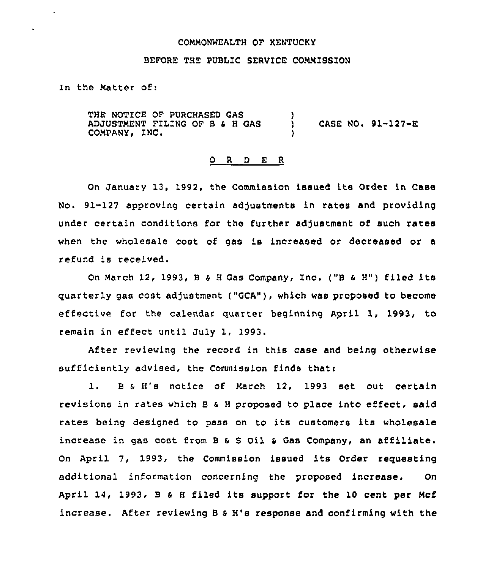#### COMMONWEALTH OF KENTUCKY

# BEFORE THE PUBLIC SERVICE COMMISSION

In the Matter of:

THE NOTICE OF PURCHASED GAS ADJUSTMENT FILING OF B & H GAS COMPANY, INC. ) ) CASE NO. 91-127-E )

### O R D E R

On January 13, 1992, the Commission issued its Order in Case No. 91-127 approving certain adjustments in rates and providing under certain conditions for the further adjustment of such rates when the wholesale cost of gas is increased or decreased or a refund is received.

On March 12, 1993, B & H Gas Company, Inc. ("B & H") filed its quarterly gas cost adjustment ("GCA"), which was proposed to become effective for the calendar quarter beginning April 1, 1993, to remain in effect until July 1, 1993.

After reviewing the record in this case and being otherwise sufficiently advised, the Commission finds that:

1. B & H's notice of March 12, 1993 set out certain revisions in rates which <sup>B</sup> s <sup>H</sup> proposed to place into effect, said rates being designed to pass on to its customers its wholesale increase in gas cost from <sup>B</sup> <sup>s</sup> <sup>S</sup> Oil <sup>s</sup> Gas Company, an affiliate. On April 7, 1993, the Commission issued its Order requesting additional information concerning the proposed increase. On April 14, 1993. <sup>B</sup> <sup>s</sup> <sup>H</sup> filed its support for the 10 cent per Mcf increase. After reviewing B s H's response and confirming with the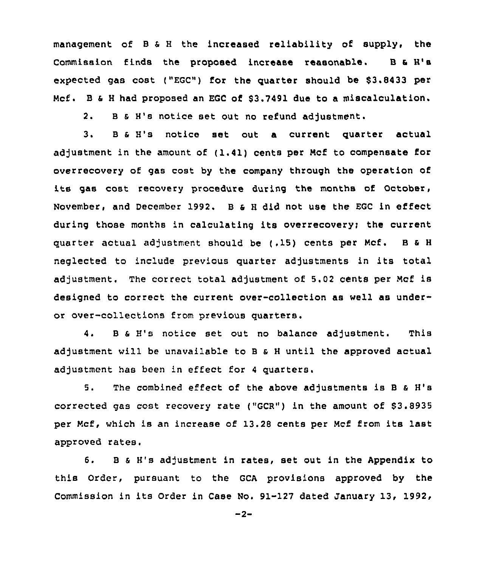management of <sup>B</sup> <sup>a</sup> <sup>H</sup> the increased reliability of supply, the Commission finds the proposed increase reasonable. B & H's expected gas cost ("EGC") for the quarter should be \$3.8433 per Mcf. <sup>B</sup> <sup>6</sup> <sup>H</sup> had proposed an EGc of \$3.7491 due to a miscalculation.

2. 8 s H's notice set out no refund adjustment.

3. 8 <sup>6</sup> H's notice set out a current quarter actual adjustment in the amount of ( 1.41) cents per Mcf to compensate for overrecovery of gas cost by the company through the operation of its gas cost recovery procedure during the months of October, November, and December 1992. 8 s <sup>H</sup> did not use the EGC in effect during those months in calculating its overrecovery; the current quarter actual adjustment should be (, 15) cents per Mcf. <sup>B</sup> <sup>S</sup> <sup>H</sup> neglected to include previous quarter adjustments in its total adjustment. The correct total adjustment of 5.02 cents per Mcf is designed to correct the current over-collection as well as underor over-collections from previous quarters.

4. 8 <sup>S</sup> H's notice set out no balance adjustment. This adjustment will be unavailable to 8 <sup>S</sup> <sup>H</sup> until the approved actual adjustment has been in effect for <sup>4</sup> quarters.

5. The combined effect of the above adjustments is <sup>B</sup> <sup>a</sup> H's corrected gas cost recovery rate ("GCR") in the amount of \$3.8935 per Mcf, which is an increase of 13.28 cents per Mcf from its last approved rates.

6. B & H's adjustment in rates, set out in the Appendix to this Order, pursuant to the GCA provisions approved by the Commission in its Order in Case No. 91-127 dated January 13, 1992,

 $-2-$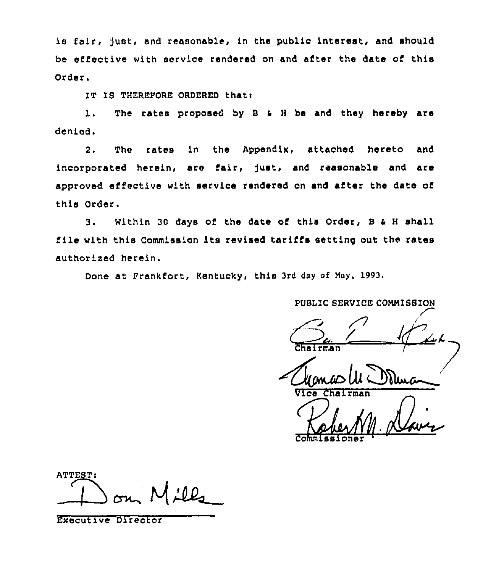is fair, just, and reasonable, in the public interest, and should be effective with service rendered on and after the date of this Order.

IT IS THEREFORE ORDERED that:

l. The rates proposed by <sup>S</sup> <sup>a</sup> <sup>H</sup> be and they hereby are denied.

2. The rates in the appendix, attached hereto and incorporated herein, are fair, )ust, and reasonable and are approved effective with service rendered on and after the date of this Order.

3. Within <sup>30</sup> days of the date of this Order, <sup>B</sup> <sup>a</sup> <sup>H</sup> shall file with this Commission its revised tariffs setting out the rates authorized herein.

Done at Frankfort, Kentucky, this 3rd day of May, 1993.

PUBLIC SERVICE CONNIBSION

 $\emph{q}$ Chairman

Vice Chairman

Commissione

ATTEST: 00

Executive Director